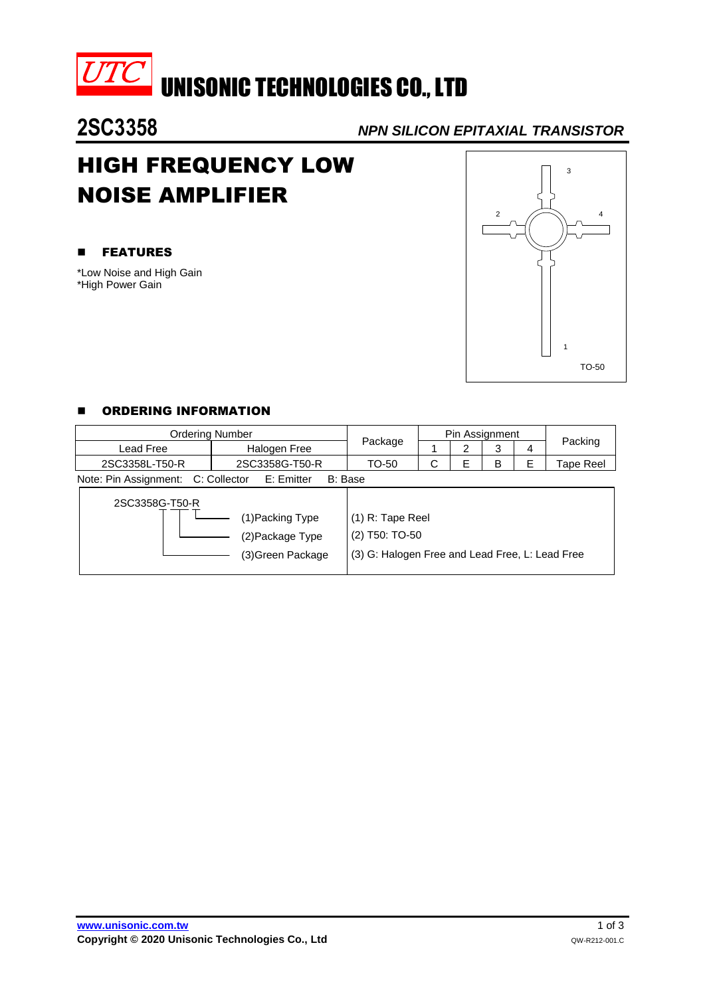

**UTC** UNISONIC TECHNOLOGIES CO., LTD

**2SC3358** *NPN SILICON EPITAXIAL TRANSISTOR*

# HIGH FREQUENCY LOW NOISE AMPLIFIER

### **EXECUTE:**

\*Low Noise and High Gain \*High Power Gain



## **E** ORDERING INFORMATION

| <b>Ordering Number</b>                                                    |                |                                                                                       | Pin Assignment |   |   |   |           |  |
|---------------------------------------------------------------------------|----------------|---------------------------------------------------------------------------------------|----------------|---|---|---|-----------|--|
| Lead Free                                                                 | Halogen Free   | Package                                                                               |                | 2 | 3 | 4 | Packing   |  |
| 2SC3358L-T50-R                                                            | 2SC3358G-T50-R | TO-50                                                                                 | C              | Е | B | F | Tape Reel |  |
| Note: Pin Assignment: C: Collector<br>E: Emitter<br>B: Base               |                |                                                                                       |                |   |   |   |           |  |
| 2SC3358G-T50-R<br>(1)Packing Type<br>(2) Package Type<br>(3)Green Package |                | (1) R: Tape Reel<br>(2) T50: TO-50<br>(3) G: Halogen Free and Lead Free, L: Lead Free |                |   |   |   |           |  |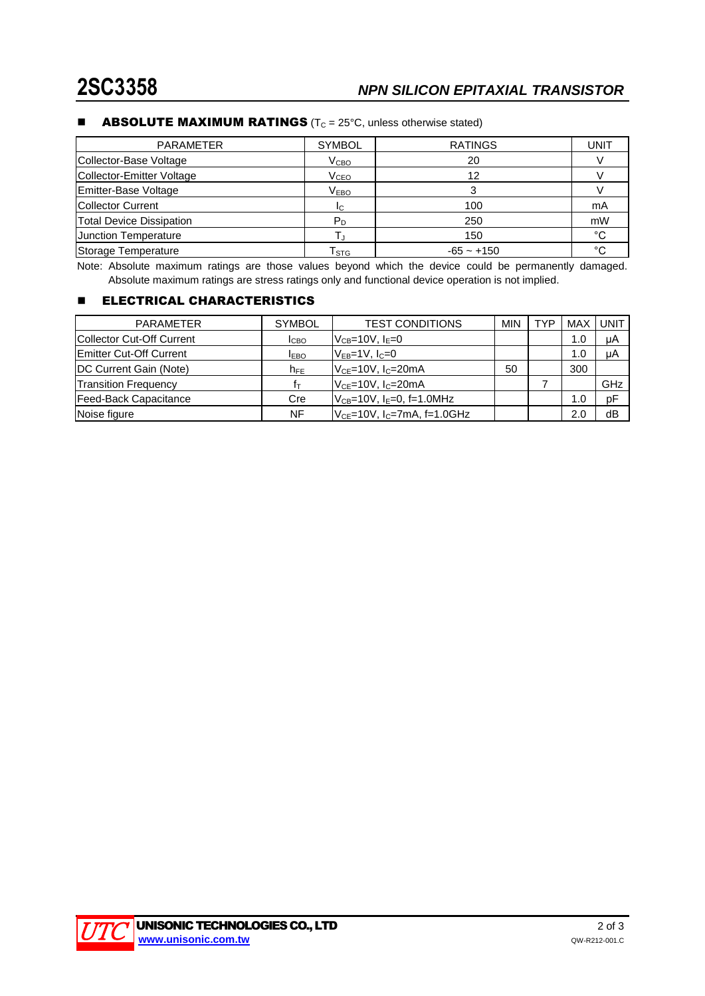#### **ABSOLUTE MAXIMUM RATINGS** ( $T_c = 25^{\circ}$ C, unless otherwise stated)

| <b>PARAMETER</b>                | <b>SYMBOL</b>               | <b>RATINGS</b> | <b>UNIT</b> |
|---------------------------------|-----------------------------|----------------|-------------|
| Collector-Base Voltage          | V <sub>CBO</sub>            | 20             |             |
| Collector-Emitter Voltage       | V <sub>CEO</sub>            | 12             |             |
| Emitter-Base Voltage            | V <sub>EBO</sub>            |                |             |
| <b>Collector Current</b>        | IC.                         | 100            | mA          |
| <b>Total Device Dissipation</b> | Pn                          | 250            | mW          |
| Junction Temperature            |                             | 150            | °C          |
| Storage Temperature             | $\mathsf{T}_{\texttt{STG}}$ | $-65 - +150$   | $\circ$     |

Note: Absolute maximum ratings are those values beyond which the device could be permanently damaged. Absolute maximum ratings are stress ratings only and functional device operation is not implied.

#### **ELECTRICAL CHARACTERISTICS**

| <b>PARAMETER</b>                  | <b>SYMBOL</b>   | <b>TEST CONDITIONS</b>              | <b>MIN</b> | TYP | MAX | UNIT |
|-----------------------------------|-----------------|-------------------------------------|------------|-----|-----|------|
| <b>ICollector Cut-Off Current</b> | <b>I</b> CBO    | $V_{CB} = 10V$ , $I_E = 0$          |            |     | 1.0 | μA   |
| <b>Emitter Cut-Off Current</b>    | <b>IEBO</b>     | $V_{EB} = 1V$ , $I_C = 0$           |            |     | 1.0 | μA   |
| <b>IDC Current Gain (Note)</b>    | h <sub>FE</sub> | $V_{CF}$ =10V, $I_C$ =20mA          | 50         |     | 300 |      |
| <b>Transition Frequency</b>       | İт              | $VCE=10V, IC=20mA$                  |            |     |     | GHz  |
| Feed-Back Capacitance             | Cre             | $V_{CB}$ =10V, $I_E$ =0, f=1.0MHz   |            |     | 1.0 | pF   |
| Noise figure                      | NF              | $V_{CE}$ =10V, $I_C$ =7mA, f=1.0GHz |            |     | 2.0 | dB   |